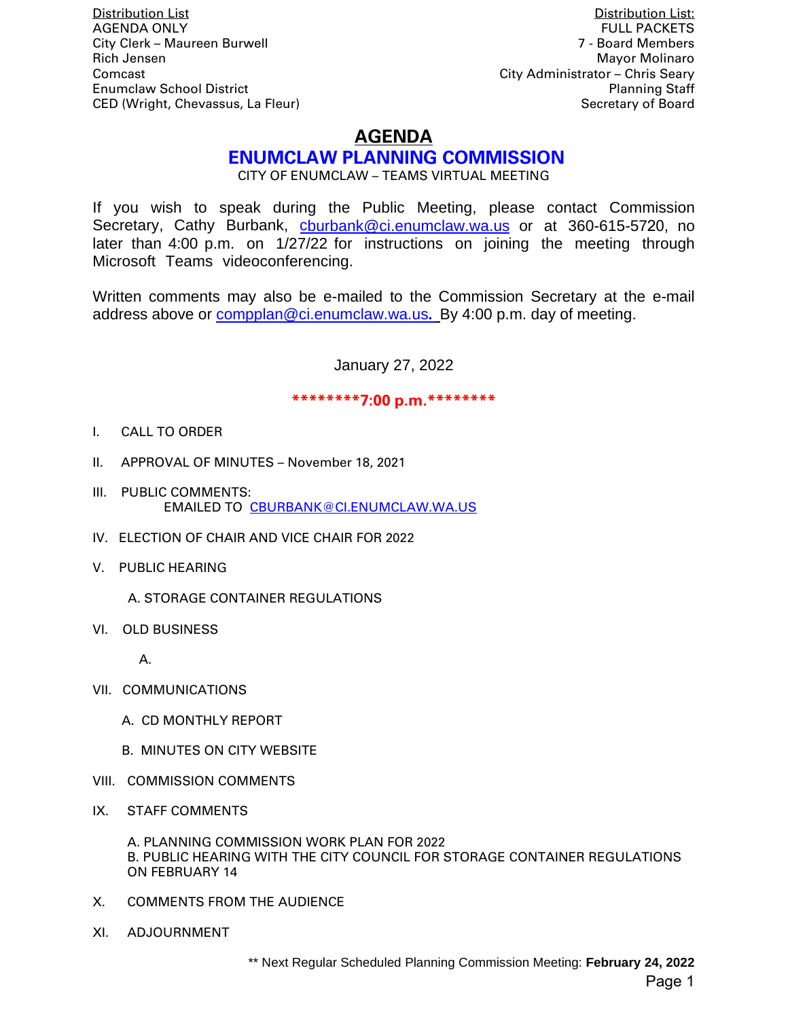Distribution List Distribution List: **AGENDA ONLY** City Clerk – Maureen Burwell 7 - Board Members Rich Jensen Mayor Molinaro New York 1989, New York 1989, New York 1989, New York 1989, New York 1989, New York 1989 Comcast City Administrator – Chris Seary Enumclaw School District Planning Staff

CED (Wright, Chevassus, La Fleur) Secretary of Board Secretary of Board

# **AGENDA**

# **ENUMCLAW PLANNING COMMISSION**

CITY OF ENUMCLAW – TEAMS VIRTUAL MEETING

If you wish to speak during the Public Meeting, please contact Commission Secretary, Cathy Burbank, churbank@ci.enumclaw.wa.us or at 360-615-5720, no later than 4:00 p.m. on 1/27/22 for instructions on joining the meeting through Microsoft Teams videoconferencing.

Written comments may also be e-mailed to the Commission Secretary at the e-mail address above or [compplan@ci.enumclaw.wa.us](mailto:compplan@ci.enumclaw.wa.us)**.** By 4:00 p.m. day of meeting.

January 27, 2022

#### **\*\*\*\*\*\*\*\*7:00 p.m.\*\*\*\*\*\*\*\***

- I. CALL TO ORDER
- II. APPROVAL OF MINUTES November 18, 2021
- III. PUBLIC COMMENTS: EMAILED TO [CBURBANK@CI.ENUMCLAW.WA.US](mailto:CBURBANK@CI.ENUMCLAW.WA.US)
- IV. ELECTION OF CHAIR AND VICE CHAIR FOR 2022
- V. PUBLIC HEARING
	- A. STORAGE CONTAINER REGULATIONS
- VI. OLD BUSINESS

A.

- VII. COMMUNICATIONS
	- A. CD MONTHLY REPORT
	- B. MINUTES ON CITY WEBSITE
- VIII. COMMISSION COMMENTS
- IX. STAFF COMMENTS

A. PLANNING COMMISSION WORK PLAN FOR 2022 B. PUBLIC HEARING WITH THE CITY COUNCIL FOR STORAGE CONTAINER REGULATIONS ON FEBRUARY 14

- X. COMMENTS FROM THE AUDIENCE
- XI. ADJOURNMENT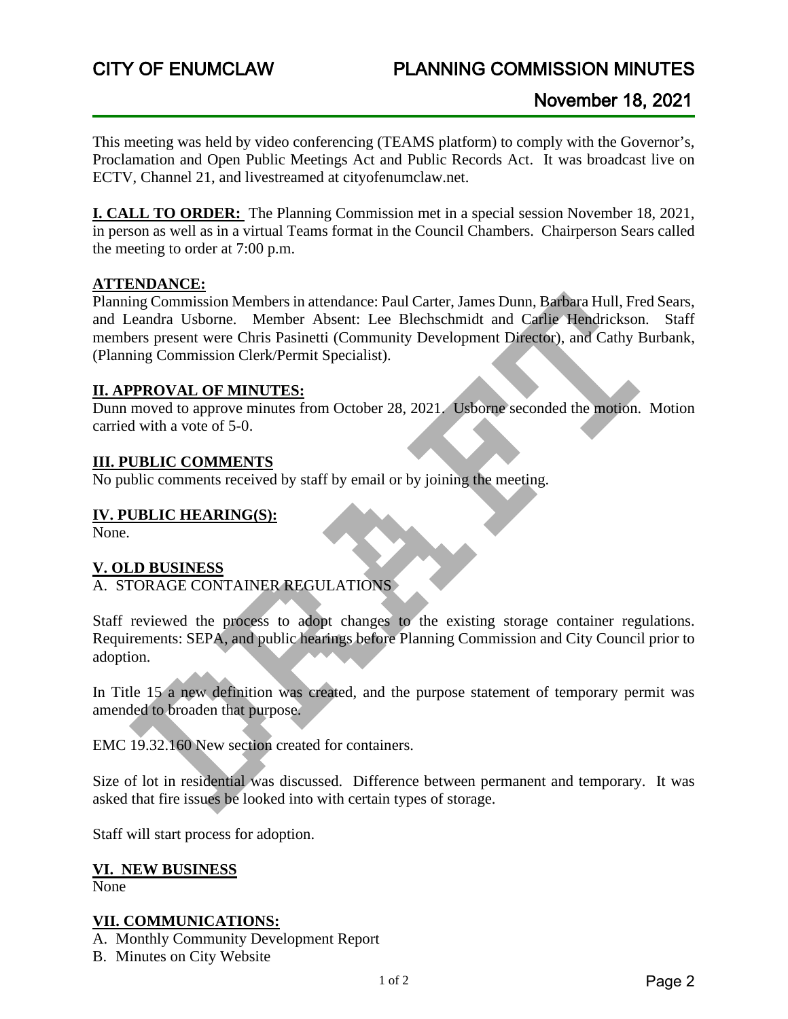# CITY OF ENUMCLAW PLANNING COMMISSION MINUTES

This meeting was held by video conferencing (TEAMS platform) to comply with the Governor's, Proclamation and Open Public Meetings Act and Public Records Act. It was broadcast live on ECTV, Channel 21, and livestreamed at cityofenumclaw.net.

**I. CALL TO ORDER:** The Planning Commission met in a special session November 18, 2021, in person as well as in a virtual Teams format in the Council Chambers. Chairperson Sears called the meeting to order at 7:00 p.m.

#### **ATTENDANCE:**

Planning Commission Members in attendance: Paul Carter, James Dunn, Barbara Hull, Fred Sears, and Leandra Usborne. Member Absent: Lee Blechschmidt and Carlie Hendrickson. Staff members present were Chris Pasinetti (Community Development Director), and Cathy Burbank, (Planning Commission Clerk/Permit Specialist).

# **II. APPROVAL OF MINUTES:**

Dunn moved to approve minutes from October 28, 2021. Usborne seconded the motion. Motion carried with a vote of 5-0.

#### **III. PUBLIC COMMENTS**

No public comments received by staff by email or by joining the meeting.

### **IV. PUBLIC HEARING(S):**

None.

#### **V. OLD BUSINESS**

A. STORAGE CONTAINER REGULATIONS

Staff reviewed the process to adopt changes to the existing storage container regulations. Requirements: SEPA, and public hearings before Planning Commission and City Council prior to adoption.

In Title 15 a new definition was created, and the purpose statement of temporary permit was amended to broaden that purpose.

EMC 19.32.160 New section created for containers.

Size of lot in residential was discussed. Difference between permanent and temporary. It was asked that fire issues be looked into with certain types of storage.

Staff will start process for adoption.

# **VI. NEW BUSINESS**

None

#### **VII. COMMUNICATIONS:**

A. Monthly Community Development Report

B. Minutes on City Website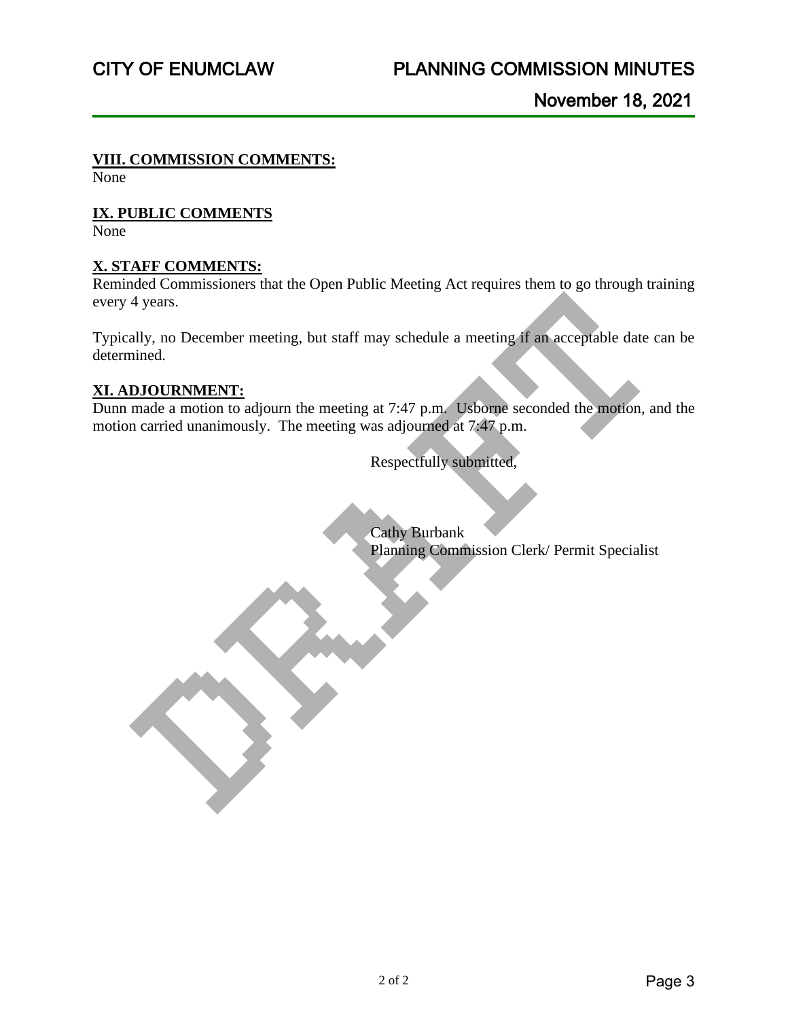### **VIII. COMMISSION COMMENTS:**

None

# **IX. PUBLIC COMMENTS**

None

# **X. STAFF COMMENTS:**

Reminded Commissioners that the Open Public Meeting Act requires them to go through training every 4 years.

Typically, no December meeting, but staff may schedule a meeting if an acceptable date can be determined.

# **XI. ADJOURNMENT:**

Dunn made a motion to adjourn the meeting at 7:47 p.m. Usborne seconded the motion, and the motion carried unanimously. The meeting was adjourned at 7:47 p.m.

Respectfully submitted,

Cathy Burbank Planning Commission Clerk/ Permit Specialist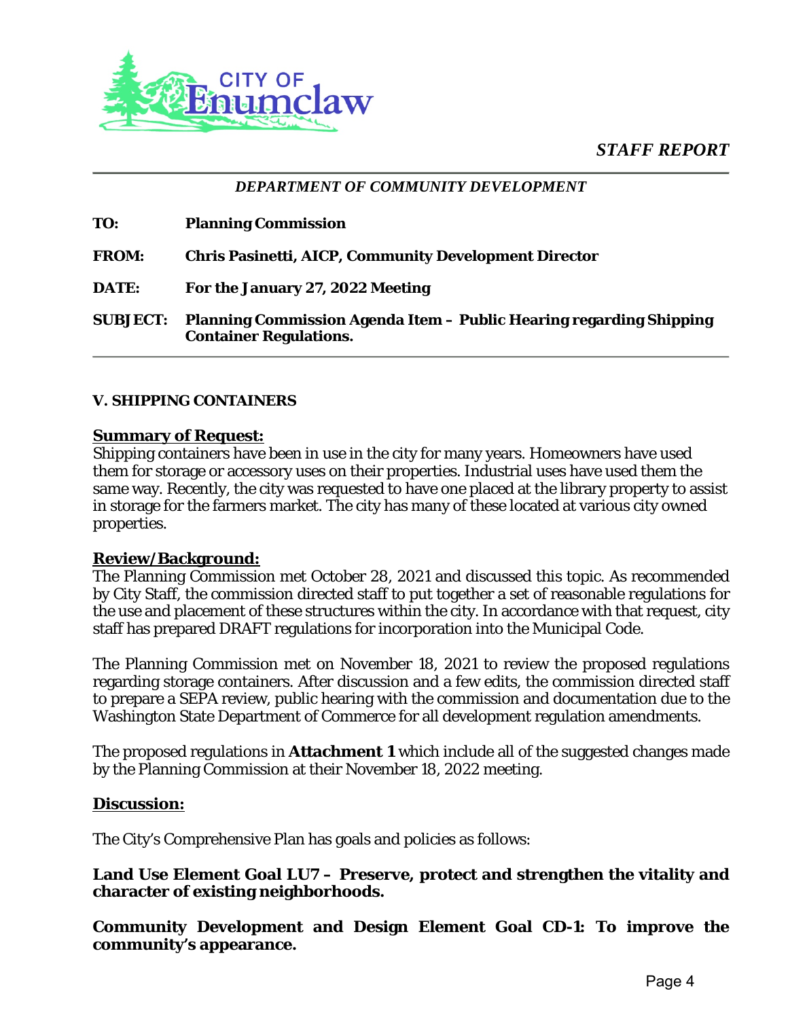*STAFF REPORT*



*DEPARTMENT OF COMMUNITY DEVELOPMENT*

| TO:             | <b>Planning Commission</b>                                                                           |
|-----------------|------------------------------------------------------------------------------------------------------|
| <b>FROM:</b>    | <b>Chris Pasinetti, AICP, Community Development Director</b>                                         |
| DATE:           | For the January 27, 2022 Meeting                                                                     |
| <b>SUBJECT:</b> | Planning Commission Agenda Item - Public Hearing regarding Shipping<br><b>Container Regulations.</b> |

#### **V. SHIPPING CONTAINERS**

#### **Summary of Request:**

Shipping containers have been in use in the city for many years. Homeowners have used them for storage or accessory uses on their properties. Industrial uses have used them the same way. Recently, the city was requested to have one placed at the library property to assist in storage for the farmers market. The city has many of these located at various city owned properties.

#### **Review/Background:**

The Planning Commission met October 28, 2021 and discussed this topic. As recommended by City Staff, the commission directed staff to put together a set of reasonable regulations for the use and placement of these structures within the city. In accordance with that request, city staff has prepared DRAFT regulations for incorporation into the Municipal Code.

The Planning Commission met on November 18, 2021 to review the proposed regulations regarding storage containers. After discussion and a few edits, the commission directed staff to prepare a SEPA review, public hearing with the commission and documentation due to the Washington State Department of Commerce for all development regulation amendments.

The proposed regulations in **Attachment 1** which include all of the suggested changes made by the Planning Commission at their November 18, 2022 meeting.

#### **Discussion:**

The City's Comprehensive Plan has goals and policies as follows:

# **Land Use Element Goal LU7 – Preserve, protect and strengthen the vitality and character of existing neighborhoods.**

**Community Development and Design Element Goal CD-1: To improve the community's appearance.**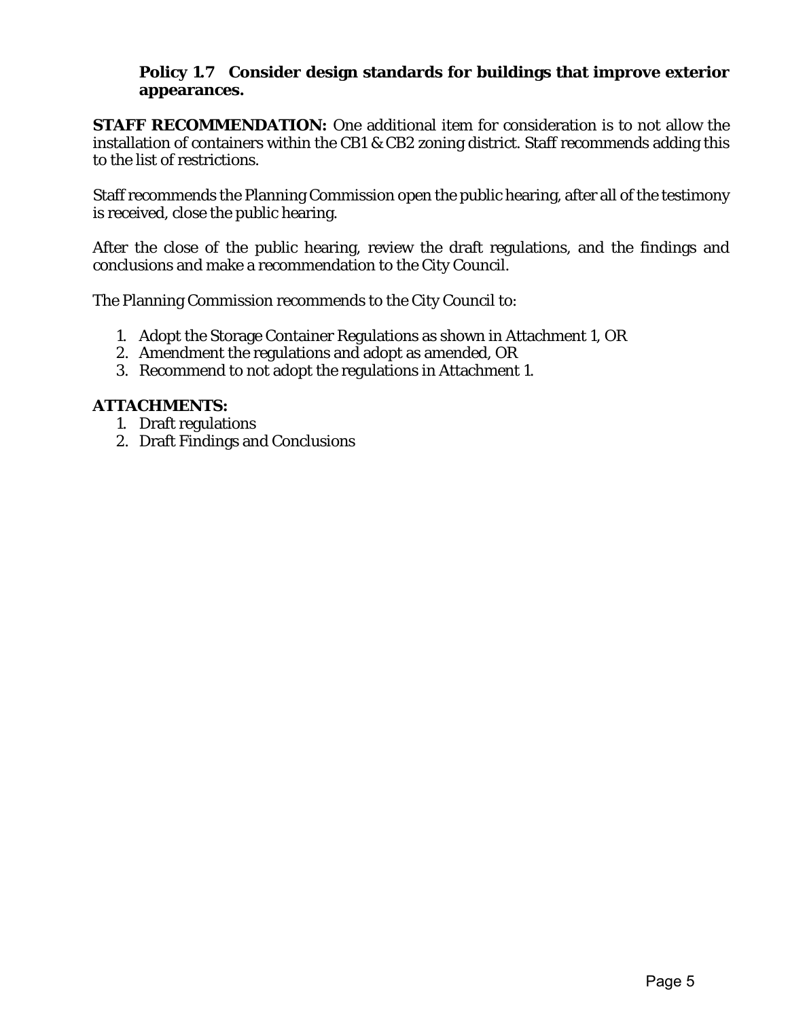# **Policy 1.7 Consider design standards for buildings that improve exterior appearances.**

**STAFF RECOMMENDATION:** One additional item for consideration is to not allow the installation of containers within the CB1 & CB2 zoning district. Staff recommends adding this to the list of restrictions.

Staff recommends the Planning Commission open the public hearing, after all of the testimony is received, close the public hearing.

After the close of the public hearing, review the draft regulations, and the findings and conclusions and make a recommendation to the City Council.

The Planning Commission recommends to the City Council to:

- 1. Adopt the Storage Container Regulations as shown in Attachment 1, OR
- 2. Amendment the regulations and adopt as amended, OR
- 3. Recommend to not adopt the regulations in Attachment 1.

# **ATTACHMENTS:**

- 1. Draft regulations
- 2. Draft Findings and Conclusions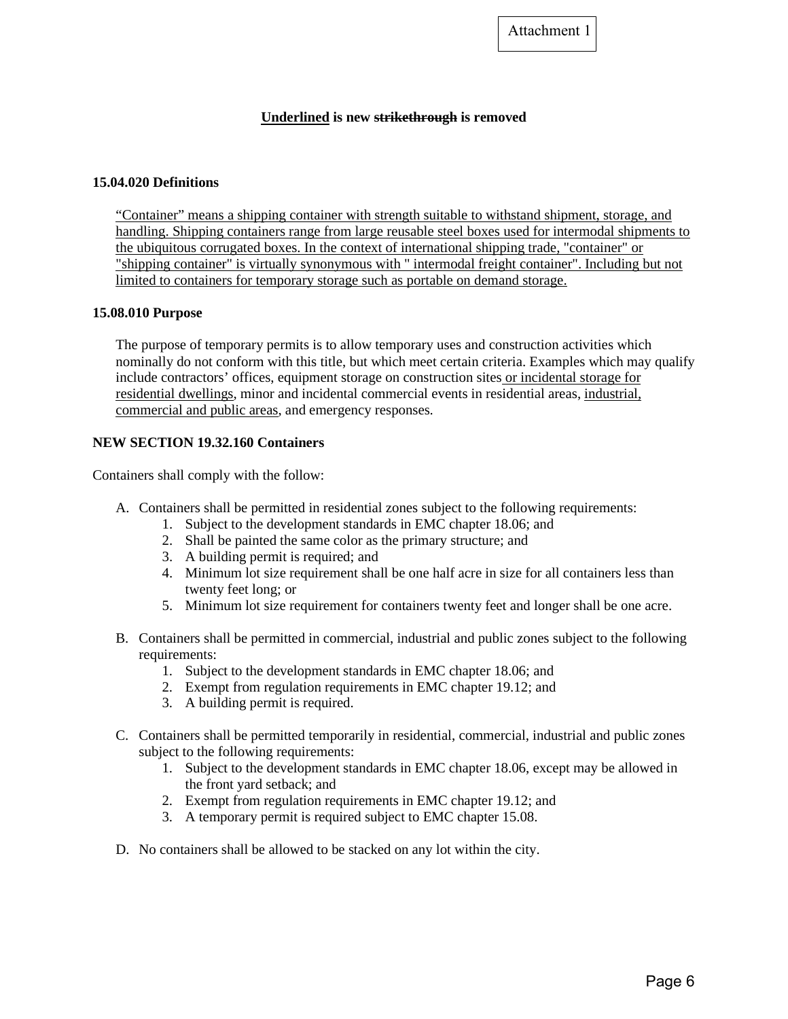Attachment 1

#### **Underlined is new strikethrough is removed**

#### **15.04.020 Definitions**

"Container" means a shipping container with strength suitable to withstand shipment, storage, and handling. Shipping containers range from large reusable steel boxes used for intermodal shipments to the ubiquitous corrugated boxes. In the context of international shipping trade, "container" or "shipping container" is virtually synonymous with " intermodal freight container". Including but not limited to containers for temporary storage such as portable on demand storage.

#### **15.08.010 Purpose**

The purpose of temporary permits is to allow temporary uses and construction activities which nominally do not conform with this title, but which meet certain criteria. Examples which may qualify include contractors' offices, equipment storage on construction sites or incidental storage for residential dwellings, minor and incidental commercial events in residential areas, industrial, commercial and public areas, and emergency responses.

#### **NEW SECTION 19.32.160 Containers**

Containers shall comply with the follow:

- A. Containers shall be permitted in residential zones subject to the following requirements:
	- 1. Subject to the development standards in EMC chapter 18.06; and
	- 2. Shall be painted the same color as the primary structure; and
	- 3. A building permit is required; and
	- 4. Minimum lot size requirement shall be one half acre in size for all containers less than twenty feet long; or
	- 5. Minimum lot size requirement for containers twenty feet and longer shall be one acre.
- B. Containers shall be permitted in commercial, industrial and public zones subject to the following requirements:
	- 1. Subject to the development standards in EMC chapter 18.06; and
	- 2. Exempt from regulation requirements in EMC chapter 19.12; and
	- 3. A building permit is required.
- C. Containers shall be permitted temporarily in residential, commercial, industrial and public zones subject to the following requirements:
	- 1. Subject to the development standards in EMC chapter 18.06, except may be allowed in the front yard setback; and
	- 2. Exempt from regulation requirements in EMC chapter 19.12; and
	- 3. A temporary permit is required subject to EMC chapter 15.08.
- D. No containers shall be allowed to be stacked on any lot within the city.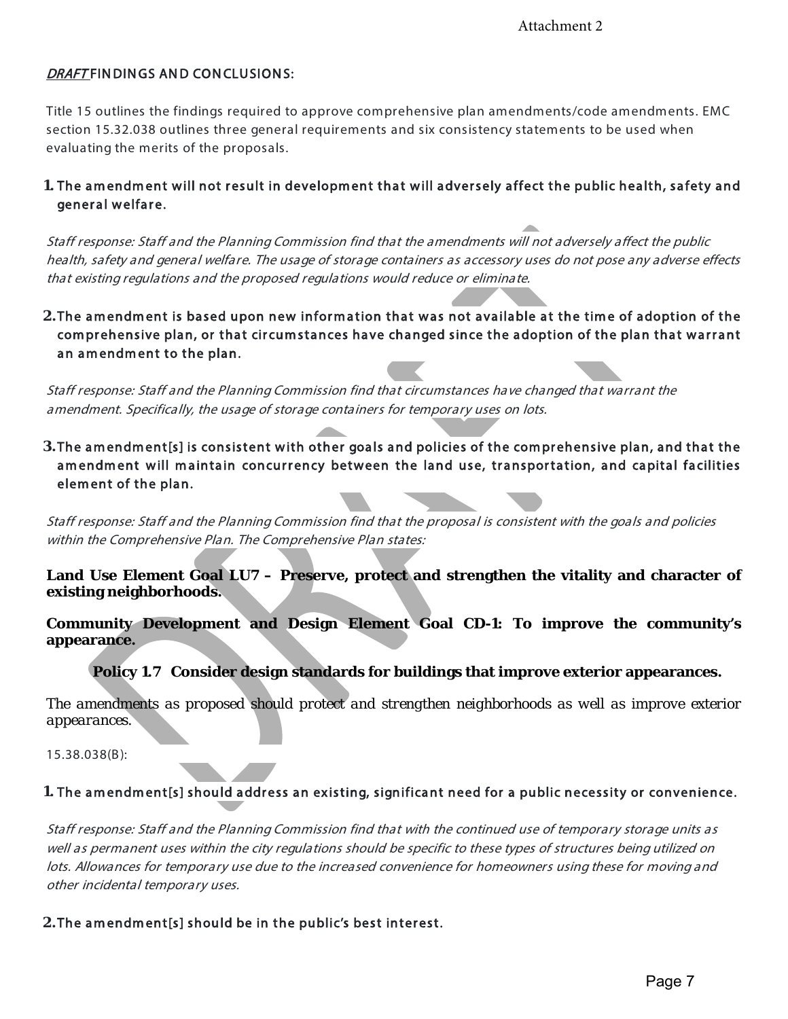# DRAFT FINDINGS AND CONCLUSIONS:

Title 15 outlines the findings required to approve comprehensive plan amendments/code amendments. EMC section 15.32.038 outlines three general requirements and six consistency statements to be used when evaluating the merits of the proposals.

# **1.** The amendment will not result in development that will adversely affect the public health, safety and general welfare.

Staff response: Staff and the Planning Commission find that the amendments will not adversely affect the public health, safety and general welfare. The usage of storage containers as accessory uses do not pose any adverse effects that existing regulations and the proposed regulations would reduce or eliminate.

**2.**The amendment is based upon new information that was not available at the time of adoption of the com prehensive plan, or that circum stances have changed since the adoption of the plan that warrant an amendment to the plan.

Staff response: Staff and the Planning Commission find that circumstances have changed that warrant the amendment. Specifically, the usage of storage containers for temporary uses on lots.

**3.** The amendment[s] is consistent with other goals and policies of the comprehensive plan, and that the amendment will maintain concurrency between the land use, transportation, and capital facilities element of the plan.

Staff response: Staff and the Planning Commission find that the proposal is consistent with the goals and policies within the Comprehensive Plan. The Comprehensive Plan states:

**Land Use Element Goal LU7 – Preserve, protect and strengthen the vitality and character of existing neighborhoods.**

**Community Development and Design Element Goal CD-1: To improve the community's appearance.**

**Policy 1.7 Consider design standards for buildings that improve exterior appearances.**

*The amendments as proposed should protect and strengthen neighborhoods as well as improve exterior appearances.* 

15.38.038(B):

1. The amendment[s] should address an existing, significant need for a public necessity or convenience.

Staff response: Staff and the Planning Commission find that with the continued use of temporary storage units as well as permanent uses within the city regulations should be specific to these types of structures being utilized on lots. Allowances for temporary use due to the increased convenience for homeowners using these for moving and other incidental temporary uses.

**2.** The amendment[s] should be in the public's best interest.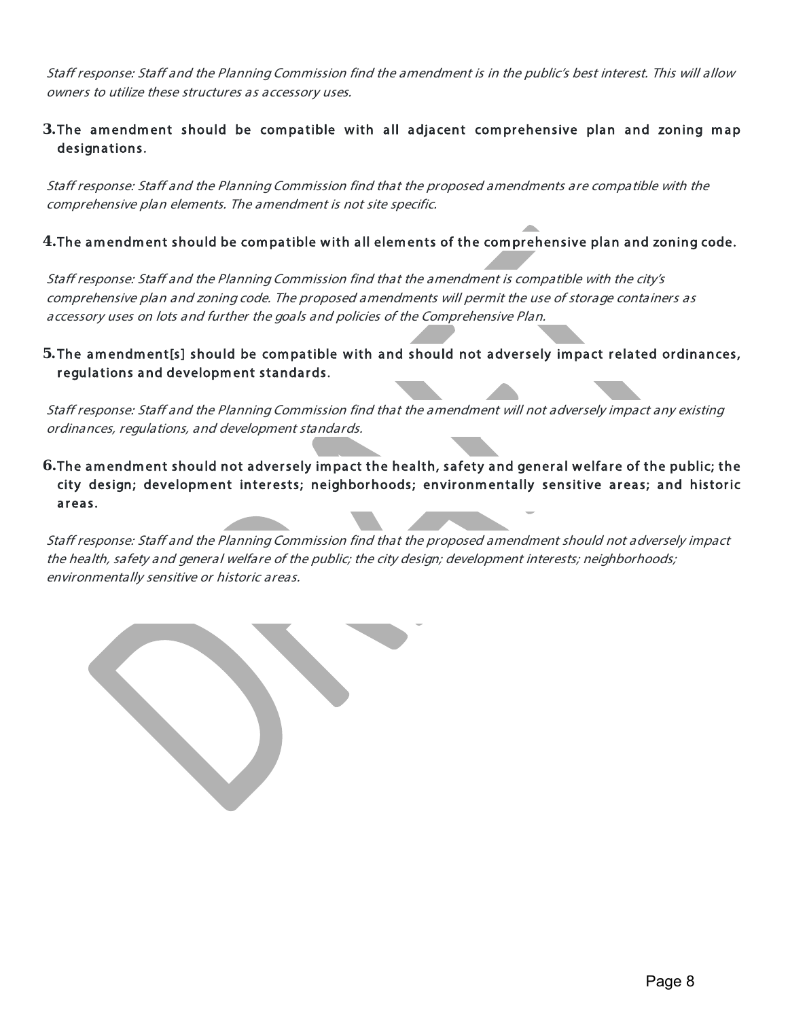Staff response: Staff and the Planning Commission find the amendment is in the public's best interest. This will allow owners to utilize these structures as accessory uses.

# **3.**The amendment should be compatible with all adjacent comprehensive plan and zoning map designations.

Staff response: Staff and the Planning Commission find that the proposed amendments are compatible with the comprehensive plan elements. The amendment is not site specific.

# **4.** The amendment should be compatible with all elements of the comprehensive plan and zoning code.

Staff response: Staff and the Planning Commission find that the amendment is compatible with the city's comprehensive plan and zoning code. The proposed amendments will permit the use of storage containers as accessory uses on lots and further the goals and policies of the Comprehensive Plan.

# **5.**The am endm ent[s] should be compatible with and should not adversely impact related ordinances, regulations and development standards.

Staff response: Staff and the Planning Commission find that the amendment will not adversely impact any existing ordinances, regulations, and development standards.

6. The amendment should not adversely impact the health, safety and general welfare of the public; the city design; development interests; neighborhoods; environmentally sensitive areas; and historic areas.

Staff response: Staff and the Planning Commission find that the proposed amendment should not adversely impact the health, safety and general welfare of the public; the city design; development interests; neighborhoods; environmentally sensitive or historic areas.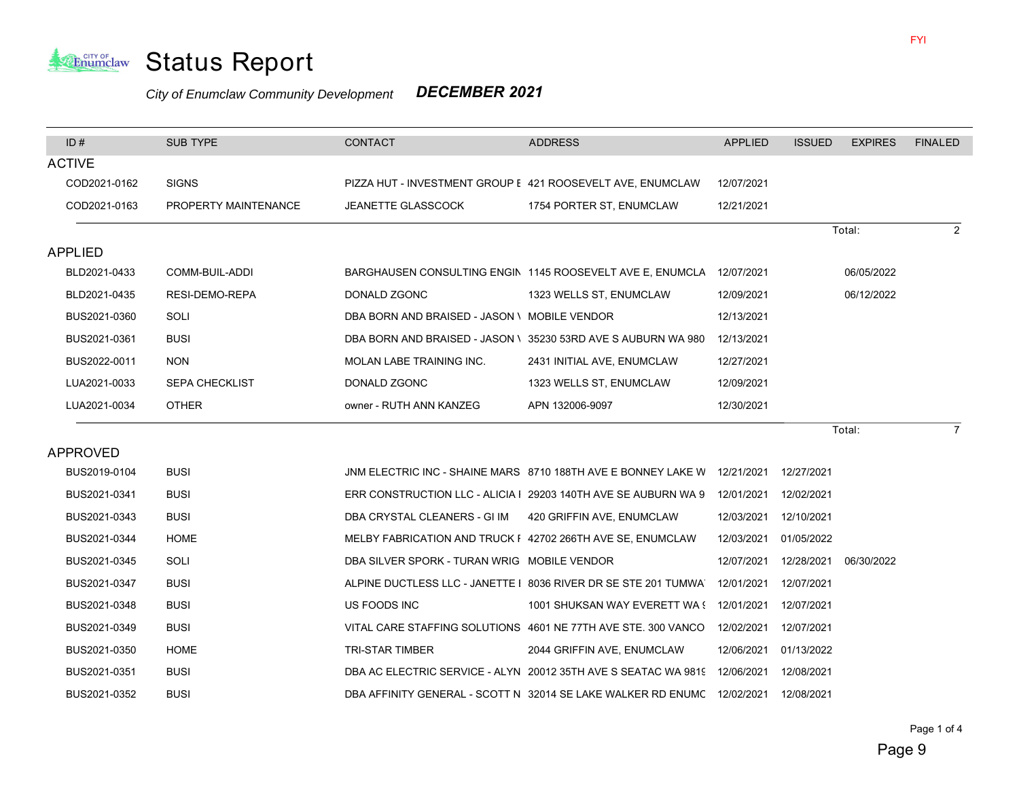

#### *City of Enumclaw Community Development DECEMBER 2021*

| ID#            | <b>SUB TYPE</b>       | <b>CONTACT</b>                                             | <b>ADDRESS</b>                                                                       | <b>APPLIED</b> | <b>ISSUED</b> | <b>EXPIRES</b> | <b>FINALED</b> |
|----------------|-----------------------|------------------------------------------------------------|--------------------------------------------------------------------------------------|----------------|---------------|----------------|----------------|
| <b>ACTIVE</b>  |                       |                                                            |                                                                                      |                |               |                |                |
| COD2021-0162   | <b>SIGNS</b>          |                                                            | PIZZA HUT - INVESTMENT GROUP E 421 ROOSEVELT AVE, ENUMCLAW                           | 12/07/2021     |               |                |                |
| COD2021-0163   | PROPERTY MAINTENANCE  | <b>JEANETTE GLASSCOCK</b>                                  | 1754 PORTER ST, ENUMCLAW                                                             | 12/21/2021     |               |                |                |
|                |                       |                                                            |                                                                                      |                |               | Total:         | 2              |
| <b>APPLIED</b> |                       |                                                            |                                                                                      |                |               |                |                |
| BLD2021-0433   | COMM-BUIL-ADDI        |                                                            | BARGHAUSEN CONSULTING ENGIN 1145 ROOSEVELT AVE E, ENUMCLA                            | 12/07/2021     |               | 06/05/2022     |                |
| BLD2021-0435   | RESI-DEMO-REPA        | DONALD ZGONC                                               | 1323 WELLS ST, ENUMCLAW                                                              | 12/09/2021     |               | 06/12/2022     |                |
| BUS2021-0360   | SOLI                  | DBA BORN AND BRAISED - JASON \ MOBILE VENDOR               |                                                                                      | 12/13/2021     |               |                |                |
| BUS2021-0361   | <b>BUSI</b>           |                                                            | DBA BORN AND BRAISED - JASON \ 35230 53RD AVE S AUBURN WA 980                        | 12/13/2021     |               |                |                |
| BUS2022-0011   | <b>NON</b>            | MOLAN LABE TRAINING INC.                                   | 2431 INITIAL AVE, ENUMCLAW                                                           | 12/27/2021     |               |                |                |
| LUA2021-0033   | <b>SEPA CHECKLIST</b> | DONALD ZGONC                                               | 1323 WELLS ST, ENUMCLAW                                                              | 12/09/2021     |               |                |                |
| LUA2021-0034   | <b>OTHER</b>          | owner - RUTH ANN KANZEG                                    | APN 132006-9097                                                                      | 12/30/2021     |               |                |                |
|                |                       |                                                            |                                                                                      |                |               | Total:         | 7              |
| APPROVED       |                       |                                                            |                                                                                      |                |               |                |                |
| BUS2019-0104   | <b>BUSI</b>           |                                                            | JNM ELECTRIC INC - SHAINE MARS 8710 188TH AVE E BONNEY LAKE W 12/21/2021 12/27/2021  |                |               |                |                |
| BUS2021-0341   | <b>BUSI</b>           |                                                            | ERR CONSTRUCTION LLC - ALICIA   29203 140TH AVE SE AUBURN WA 9 12/01/2021 12/02/2021 |                |               |                |                |
| BUS2021-0343   | <b>BUSI</b>           | DBA CRYSTAL CLEANERS - GI IM                               | 420 GRIFFIN AVE, ENUMCLAW                                                            | 12/03/2021     | 12/10/2021    |                |                |
| BUS2021-0344   | <b>HOME</b>           | MELBY FABRICATION AND TRUCK F 42702 266TH AVE SE, ENUMCLAW |                                                                                      | 12/03/2021     | 01/05/2022    |                |                |
| BUS2021-0345   | SOLI                  | DBA SILVER SPORK - TURAN WRIG MOBILE VENDOR                |                                                                                      | 12/07/2021     | 12/28/2021    | 06/30/2022     |                |
| BUS2021-0347   | <b>BUSI</b>           |                                                            | ALPINE DUCTLESS LLC - JANETTE   8036 RIVER DR SE STE 201 TUMWA                       |                |               |                |                |
| BUS2021-0348   | <b>BUSI</b>           | US FOODS INC                                               | 1001 SHUKSAN WAY EVERETT WA (12/01/2021                                              |                | 12/07/2021    |                |                |
| BUS2021-0349   | <b>BUSI</b>           |                                                            | VITAL CARE STAFFING SOLUTIONS 4601 NE 77TH AVE STE. 300 VANCO 12/02/2021             |                | 12/07/2021    |                |                |
| BUS2021-0350   | <b>HOME</b>           | <b>TRI-STAR TIMBER</b>                                     | 2044 GRIFFIN AVE, ENUMCLAW                                                           | 12/06/2021     | 01/13/2022    |                |                |
| BUS2021-0351   | <b>BUSI</b>           |                                                            | DBA AC ELECTRIC SERVICE - ALYN 20012 35TH AVE S SEATAC WA 9819 12/06/2021            |                | 12/08/2021    |                |                |
| BUS2021-0352   | <b>BUSI</b>           |                                                            | DBA AFFINITY GENERAL - SCOTT N 32014 SE LAKE WALKER RD ENUMC 12/02/2021              |                | 12/08/2021    |                |                |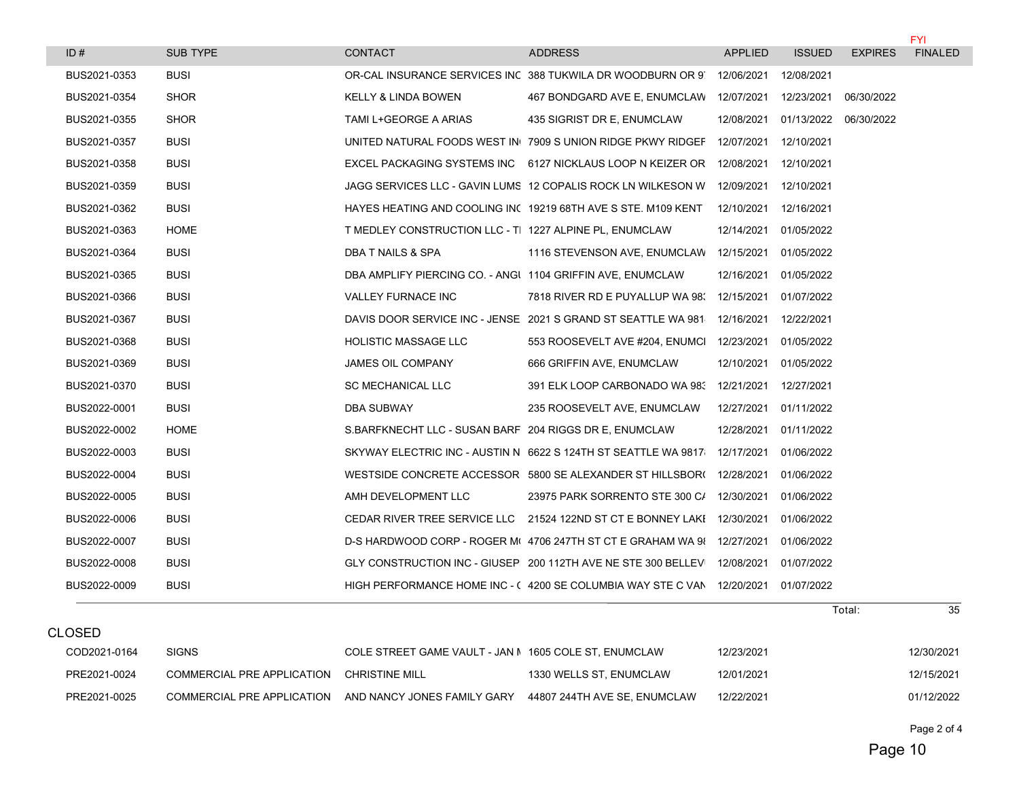|              |                 |                                                            |                                                                           |                |               |                       | <b>FYI</b>     |
|--------------|-----------------|------------------------------------------------------------|---------------------------------------------------------------------------|----------------|---------------|-----------------------|----------------|
| ID#          | <b>SUB TYPE</b> | CONTACT                                                    | <b>ADDRESS</b>                                                            | <b>APPLIED</b> | <b>ISSUED</b> | <b>EXPIRES</b>        | <b>FINALED</b> |
| BUS2021-0353 | <b>BUSI</b>     |                                                            | OR-CAL INSURANCE SERVICES INC 388 TUKWILA DR WOODBURN OR 9 12/06/2021     |                | 12/08/2021    |                       |                |
| BUS2021-0354 | <b>SHOR</b>     | KELLY & LINDA BOWEN                                        | 467 BONDGARD AVE E, ENUMCLAW 12/07/2021                                   |                | 12/23/2021    | 06/30/2022            |                |
| BUS2021-0355 | <b>SHOR</b>     | TAMI L+GEORGE A ARIAS                                      | 435 SIGRIST DR E, ENUMCLAW                                                | 12/08/2021     |               | 01/13/2022 06/30/2022 |                |
| BUS2021-0357 | <b>BUSI</b>     |                                                            | UNITED NATURAL FOODS WEST IN 7909 S UNION RIDGE PKWY RIDGEF               | 12/07/2021     | 12/10/2021    |                       |                |
| BUS2021-0358 | <b>BUSI</b>     |                                                            | EXCEL PACKAGING SYSTEMS INC 6127 NICKLAUS LOOP N KEIZER OR 12/08/2021     |                | 12/10/2021    |                       |                |
| BUS2021-0359 | <b>BUSI</b>     |                                                            | JAGG SERVICES LLC - GAVIN LUMS 12 COPALIS ROCK LN WILKESON W              | 12/09/2021     | 12/10/2021    |                       |                |
| BUS2021-0362 | <b>BUSI</b>     |                                                            | HAYES HEATING AND COOLING IN( 19219 68TH AVE S STE, M109 KENT             | 12/10/2021     | 12/16/2021    |                       |                |
| BUS2021-0363 | <b>HOME</b>     | T MEDLEY CONSTRUCTION LLC - TI 1227 ALPINE PL, ENUMCLAW    |                                                                           | 12/14/2021     | 01/05/2022    |                       |                |
| BUS2021-0364 | <b>BUSI</b>     | DBA T NAILS & SPA                                          | 1116 STEVENSON AVE, ENUMCLAW                                              | 12/15/2021     | 01/05/2022    |                       |                |
| BUS2021-0365 | <b>BUSI</b>     | DBA AMPLIFY PIERCING CO. - ANGI 1104 GRIFFIN AVE, ENUMCLAW |                                                                           | 12/16/2021     | 01/05/2022    |                       |                |
| BUS2021-0366 | <b>BUSI</b>     | <b>VALLEY FURNACE INC</b>                                  | 7818 RIVER RD E PUYALLUP WA 98. 12/15/2021                                |                | 01/07/2022    |                       |                |
| BUS2021-0367 | <b>BUSI</b>     |                                                            | DAVIS DOOR SERVICE INC - JENSE 2021 S GRAND ST SEATTLE WA 981 12/16/2021  |                | 12/22/2021    |                       |                |
| BUS2021-0368 | <b>BUSI</b>     | <b>HOLISTIC MASSAGE LLC</b>                                | 553 ROOSEVELT AVE #204, ENUMCI                                            | 12/23/2021     | 01/05/2022    |                       |                |
| BUS2021-0369 | <b>BUSI</b>     | JAMES OIL COMPANY                                          | 666 GRIFFIN AVE, ENUMCLAW                                                 | 12/10/2021     | 01/05/2022    |                       |                |
| BUS2021-0370 | <b>BUSI</b>     | <b>SC MECHANICAL LLC</b>                                   | 391 ELK LOOP CARBONADO WA 98: 12/21/2021                                  |                | 12/27/2021    |                       |                |
| BUS2022-0001 | <b>BUSI</b>     | DBA SUBWAY                                                 | 235 ROOSEVELT AVE, ENUMCLAW                                               | 12/27/2021     | 01/11/2022    |                       |                |
| BUS2022-0002 | <b>HOME</b>     | S. BARFKNECHT LLC - SUSAN BARF 204 RIGGS DR E. ENUMCLAW    |                                                                           | 12/28/2021     | 01/11/2022    |                       |                |
| BUS2022-0003 | <b>BUSI</b>     |                                                            | SKYWAY ELECTRIC INC - AUSTIN N 6622 S 124TH ST SEATTLE WA 9817            | 12/17/2021     | 01/06/2022    |                       |                |
| BUS2022-0004 | <b>BUSI</b>     |                                                            | WESTSIDE CONCRETE ACCESSOR 5800 SE ALEXANDER ST HILLSBOR( 12/28/2021      |                | 01/06/2022    |                       |                |
| BUS2022-0005 | <b>BUSI</b>     | AMH DEVELOPMENT LLC                                        | 23975 PARK SORRENTO STE 300 C/ 12/30/2021                                 |                | 01/06/2022    |                       |                |
| BUS2022-0006 | <b>BUSI</b>     |                                                            | CEDAR RIVER TREE SERVICE LLC 21524 122ND ST CT E BONNEY LAKE 12/30/2021   |                | 01/06/2022    |                       |                |
| BUS2022-0007 | <b>BUSI</b>     |                                                            | D-S HARDWOOD CORP - ROGER M(4706 247TH ST CT E GRAHAM WA 9{ 12/27/2021    |                | 01/06/2022    |                       |                |
| BUS2022-0008 | <b>BUSI</b>     |                                                            | GLY CONSTRUCTION INC - GIUSEP 200 112TH AVE NE STE 300 BELLEVI 12/08/2021 |                | 01/07/2022    |                       |                |
| BUS2022-0009 | <b>BUSI</b>     |                                                            | HIGH PERFORMANCE HOME INC - (4200 SE COLUMBIA WAY STE C VAN 12/20/2021    |                | 01/07/2022    |                       |                |
|              |                 |                                                            |                                                                           |                |               | Total:                | 35             |

|              |                            |                                                        |                              |            | TULAI. | ົບປ        |
|--------------|----------------------------|--------------------------------------------------------|------------------------------|------------|--------|------------|
| CLOSED       |                            |                                                        |                              |            |        |            |
| COD2021-0164 | <b>SIGNS</b>               | COLE STREET GAME VAULT - JAN N 1605 COLE ST. ENUMCLAW  |                              | 12/23/2021 |        | 12/30/2021 |
| PRE2021-0024 | COMMERCIAL PRE APPLICATION | CHRISTINE MILL                                         | 1330 WELLS ST. ENUMCLAW      | 12/01/2021 |        | 12/15/2021 |
| PRE2021-0025 |                            | COMMERCIAL PRE APPLICATION AND NANCY JONES FAMILY GARY | 44807 244TH AVE SE, ENUMCLAW | 12/22/2021 |        | 01/12/2022 |

Page 2 of 4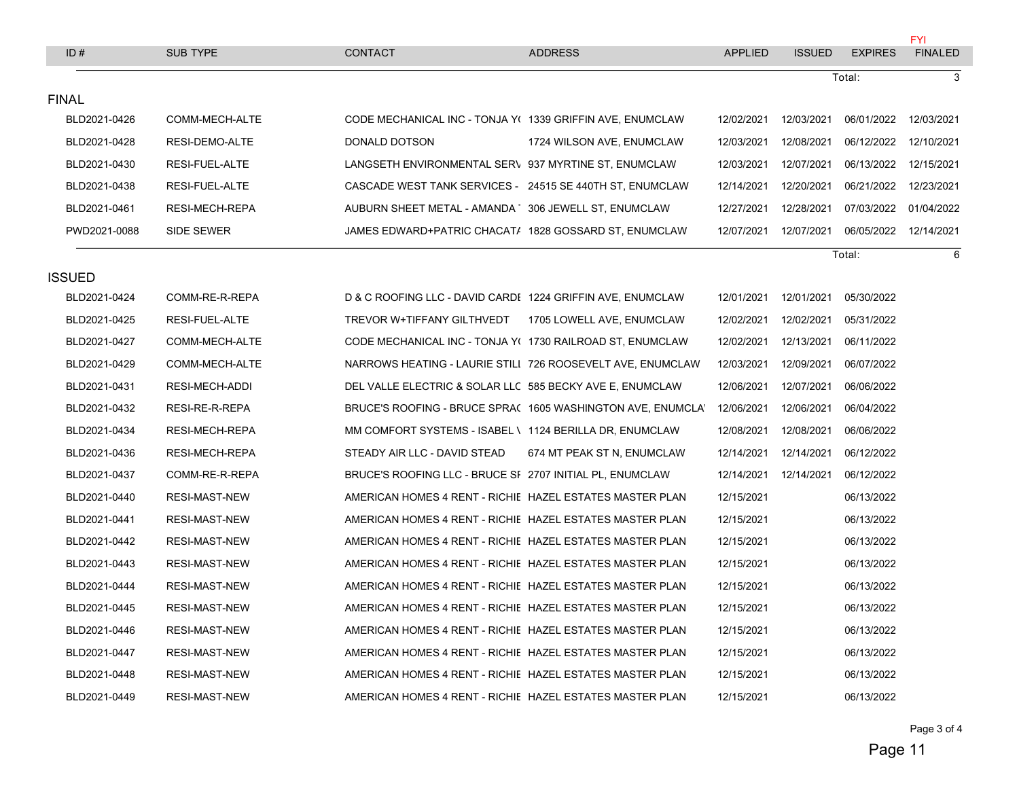| ID#           | SUB TYPE             | <b>CONTACT</b>                                             | <b>ADDRESS</b>                                              | <b>APPLIED</b>         | <b>ISSUED</b>          | <b>EXPIRES</b> | <b>FYI</b><br><b>FINALED</b> |
|---------------|----------------------|------------------------------------------------------------|-------------------------------------------------------------|------------------------|------------------------|----------------|------------------------------|
|               |                      |                                                            |                                                             |                        |                        | Total:         | 3                            |
| <b>FINAL</b>  |                      |                                                            |                                                             |                        |                        |                |                              |
| BLD2021-0426  | COMM-MECH-ALTE       | CODE MECHANICAL INC - TONJA Y( 1339 GRIFFIN AVE, ENUMCLAW  |                                                             |                        | 12/02/2021  12/03/2021 | 06/01/2022     | 12/03/2021                   |
| BLD2021-0428  | RESI-DEMO-ALTE       | DONALD DOTSON                                              | 1724 WILSON AVE, ENUMCLAW                                   | 12/03/2021             | 12/08/2021             | 06/12/2022     | 12/10/2021                   |
| BLD2021-0430  | RESI-FUEL-ALTE       | LANGSETH ENVIRONMENTAL SERV 937 MYRTINE ST, ENUMCLAW       |                                                             | 12/03/2021             | 12/07/2021             | 06/13/2022     | 12/15/2021                   |
| BLD2021-0438  | RESI-FUEL-ALTE       | CASCADE WEST TANK SERVICES - 24515 SE 440TH ST, ENUMCLAW   |                                                             | 12/14/2021             | 12/20/2021             | 06/21/2022     | 12/23/2021                   |
| BLD2021-0461  | RESI-MECH-REPA       | AUBURN SHEET METAL - AMANDA   306 JEWELL ST, ENUMCLAW      |                                                             | 12/27/2021             | 12/28/2021             | 07/03/2022     | 01/04/2022                   |
| PWD2021-0088  | SIDE SEWER           | JAMES EDWARD+PATRIC CHACAT/ 1828 GOSSARD ST, ENUMCLAW      |                                                             |                        | 12/07/2021  12/07/2021 | 06/05/2022     | 12/14/2021                   |
|               |                      |                                                            |                                                             |                        |                        | Total:         | 6                            |
| <b>ISSUED</b> |                      |                                                            |                                                             |                        |                        |                |                              |
| BLD2021-0424  | COMM-RE-R-REPA       | D & C ROOFING LLC - DAVID CARDI 1224 GRIFFIN AVE, ENUMCLAW |                                                             |                        | 12/01/2021  12/01/2021 | 05/30/2022     |                              |
| BLD2021-0425  | RESI-FUEL-ALTE       | TREVOR W+TIFFANY GILTHVEDT                                 | 1705 LOWELL AVE, ENUMCLAW                                   |                        | 12/02/2021 12/02/2021  | 05/31/2022     |                              |
| BLD2021-0427  | COMM-MECH-ALTE       | CODE MECHANICAL INC - TONJA Y( 1730 RAILROAD ST, ENUMCLAW  |                                                             |                        | 12/02/2021  12/13/2021 | 06/11/2022     |                              |
| BLD2021-0429  | COMM-MECH-ALTE       |                                                            | NARROWS HEATING - LAURIE STILI 726 ROOSEVELT AVE, ENUMCLAW  |                        | 12/03/2021  12/09/2021 | 06/07/2022     |                              |
| BLD2021-0431  | RESI-MECH-ADDI       | DEL VALLE ELECTRIC & SOLAR LLC 585 BECKY AVE E, ENUMCLAW   |                                                             |                        | 12/06/2021  12/07/2021 | 06/06/2022     |                              |
| BLD2021-0432  | RESI-RE-R-REPA       |                                                            | BRUCE'S ROOFING - BRUCE SPRA( 1605 WASHINGTON AVE, ENUMCLA) | 12/06/2021  12/06/2021 |                        | 06/04/2022     |                              |
| BLD2021-0434  | RESI-MECH-REPA       | MM COMFORT SYSTEMS - ISABEL \ 1124 BERILLA DR, ENUMCLAW    |                                                             | 12/08/2021             | 12/08/2021             | 06/06/2022     |                              |
| BLD2021-0436  | RESI-MECH-REPA       | STEADY AIR LLC - DAVID STEAD                               | 674 MT PEAK ST N, ENUMCLAW                                  |                        | 12/14/2021  12/14/2021 | 06/12/2022     |                              |
| BLD2021-0437  | COMM-RE-R-REPA       | BRUCE'S ROOFING LLC - BRUCE SF 2707 INITIAL PL, ENUMCLAW   |                                                             |                        | 12/14/2021  12/14/2021 | 06/12/2022     |                              |
| BLD2021-0440  | RESI-MAST-NEW        | AMERICAN HOMES 4 RENT - RICHIE HAZEL ESTATES MASTER PLAN   |                                                             | 12/15/2021             |                        | 06/13/2022     |                              |
| BLD2021-0441  | <b>RESI-MAST-NEW</b> | AMERICAN HOMES 4 RENT - RICHIE HAZEL ESTATES MASTER PLAN   |                                                             | 12/15/2021             |                        | 06/13/2022     |                              |
| BLD2021-0442  | <b>RESI-MAST-NEW</b> | AMERICAN HOMES 4 RENT - RICHIE HAZEL ESTATES MASTER PLAN   |                                                             | 12/15/2021             |                        | 06/13/2022     |                              |
| BLD2021-0443  | <b>RESI-MAST-NEW</b> | AMERICAN HOMES 4 RENT - RICHIE HAZEL ESTATES MASTER PLAN   |                                                             | 12/15/2021             |                        | 06/13/2022     |                              |
| BLD2021-0444  | <b>RESI-MAST-NEW</b> | AMERICAN HOMES 4 RENT - RICHIE HAZEL ESTATES MASTER PLAN   |                                                             | 12/15/2021             |                        | 06/13/2022     |                              |
| BLD2021-0445  | <b>RESI-MAST-NEW</b> | AMERICAN HOMES 4 RENT - RICHIE HAZEL ESTATES MASTER PLAN   |                                                             | 12/15/2021             |                        | 06/13/2022     |                              |
| BLD2021-0446  | RESI-MAST-NEW        | AMERICAN HOMES 4 RENT - RICHIE HAZEL ESTATES MASTER PLAN   |                                                             | 12/15/2021             |                        | 06/13/2022     |                              |
| BLD2021-0447  | <b>RESI-MAST-NEW</b> | AMERICAN HOMES 4 RENT - RICHIE HAZEL ESTATES MASTER PLAN   |                                                             | 12/15/2021             |                        | 06/13/2022     |                              |
| BLD2021-0448  | <b>RESI-MAST-NEW</b> | AMERICAN HOMES 4 RENT - RICHIE HAZEL ESTATES MASTER PLAN   |                                                             | 12/15/2021             |                        | 06/13/2022     |                              |
| BLD2021-0449  | <b>RESI-MAST-NEW</b> | AMERICAN HOMES 4 RENT - RICHIE HAZEL ESTATES MASTER PLAN   |                                                             | 12/15/2021             |                        | 06/13/2022     |                              |

Page 3 of 4